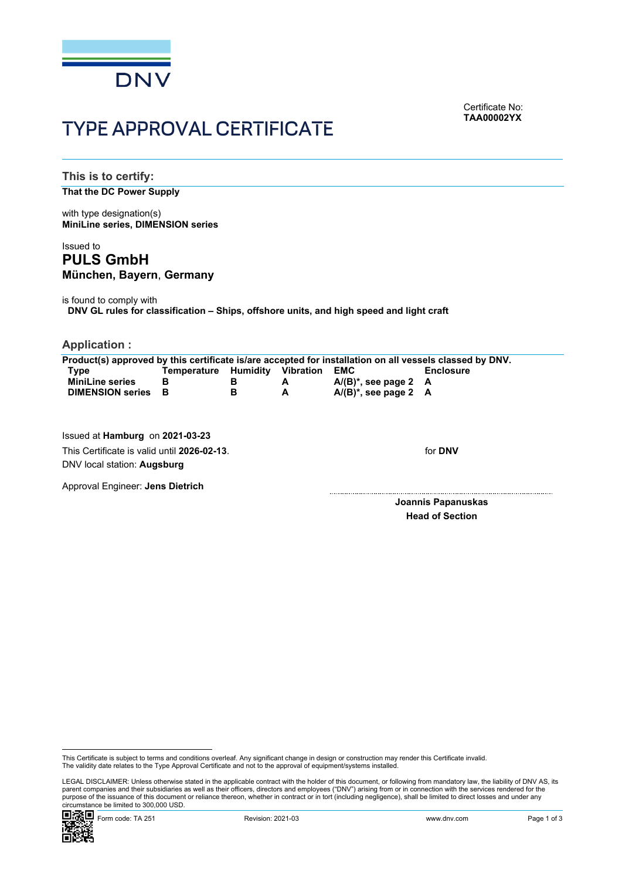

Certificate No: **TAA00002YX**

# TYPE APPROVAL CERTIFICATE

**This is to certify:**

## **That the DC Power Supply**

with type designation(s) **MiniLine series, DIMENSION series**

# Issued to **PULS GmbH München, Bayern**, **Germany**

is found to comply with

**DNV GL rules for classification – Ships, offshore units, and high speed and light craft**

**Application :**

| Product(s) approved by this certificate is/are accepted for installation on all vessels classed by DNV. |             |          |                  |                            |                  |
|---------------------------------------------------------------------------------------------------------|-------------|----------|------------------|----------------------------|------------------|
| Type                                                                                                    | Temperature | Humidity | <b>Vibration</b> | EMC                        | <b>Enclosure</b> |
| <b>MiniLine series</b>                                                                                  | В           | в        | A                | $A/(B)^*$ , see page 2 $A$ |                  |
| <b>DIMENSION series</b>                                                                                 | - B         | в        | A                | $A/(B)^*$ , see page 2 $A$ |                  |
|                                                                                                         |             |          |                  |                            |                  |
|                                                                                                         |             |          |                  |                            |                  |
|                                                                                                         |             |          |                  |                            |                  |

Issued at **Hamburg** on **2021-03-23** This Certificate is valid until **2026-02-13**. DNV local station: **Augsburg**

for **DNV**

Approval Engineer: **Jens Dietrich**

 **Joannis Papanuskas Head of Section**

 LEGAL DISCLAIMER: Unless otherwise stated in the applicable contract with the holder of this document, or following from mandatory law, the liability of DNV AS, its parent companies and their subsidiaries as well as their officers, directors and employees ("DNV") arising from or in connection with the services rendered for the purpose of the issuance of this document or reliance thereon, whether in contract or in tort (including negligence), shall be limited to direct losses and under any circumstance be limited to 300,000 USD.



This Certificate is subject to terms and conditions overleaf. Any significant change in design or construction may render this Certificate invalid.<br>The validity date relates to the Type Approval Certificate and not to the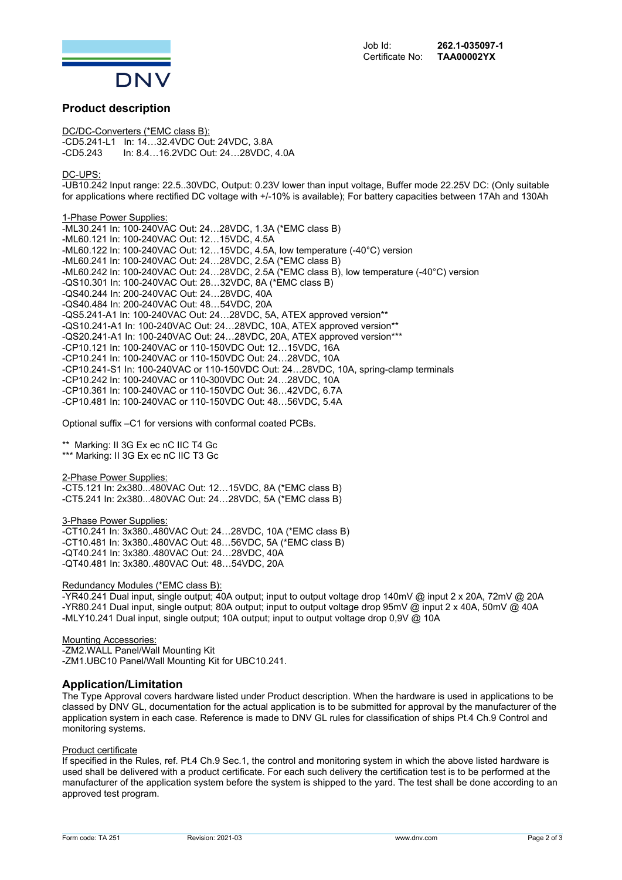

## **Product description**

DC/DC-Converters (\*EMC class B): -CD5.241-L1 In: 14…32.4VDC Out: 24VDC, 3.8A -CD5.243 In: 8.4…16.2VDC Out: 24…28VDC, 4.0A

#### DC-UPS:

-UB10.242 Input range: 22.5..30VDC, Output: 0.23V lower than input voltage, Buffer mode 22.25V DC: (Only suitable for applications where rectified DC voltage with  $+/-10\%$  is available); For battery capacities between 17Ah and 130Ah

1-Phase Power Supplies: -ML30.241 In: 100-240VAC Out: 24…28VDC, 1.3A (\*EMC class B) -ML60.121 In: 100-240VAC Out: 12…15VDC, 4.5A -ML60.122 In: 100-240VAC Out: 12…15VDC, 4.5A, low temperature (-40°C) version -ML60.241 In: 100-240VAC Out: 24…28VDC, 2.5A (\*EMC class B) -ML60.242 In: 100-240VAC Out: 24…28VDC, 2.5A (\*EMC class B), low temperature (-40°C) version -QS10.301 In: 100-240VAC Out: 28…32VDC, 8A (\*EMC class B) -QS40.244 In: 200-240VAC Out: 24…28VDC, 40A -QS40.484 In: 200-240VAC Out: 48…54VDC, 20A -QS5.241-A1 In: 100-240VAC Out: 24…28VDC, 5A, ATEX approved version\*\* -QS10.241-A1 In: 100-240VAC Out: 24…28VDC, 10A, ATEX approved version\*\* -QS20.241-A1 In: 100-240VAC Out: 24…28VDC, 20A, ATEX approved version\*\*\* -CP10.121 In: 100-240VAC or 110-150VDC Out: 12…15VDC, 16A -CP10.241 In: 100-240VAC or 110-150VDC Out: 24…28VDC, 10A -CP10.241-S1 In: 100-240VAC or 110-150VDC Out: 24…28VDC, 10A, spring-clamp terminals -CP10.242 In: 100-240VAC or 110-300VDC Out: 24…28VDC, 10A -CP10.361 In: 100-240VAC or 110-150VDC Out: 36…42VDC, 6.7A -CP10.481 In: 100-240VAC or 110-150VDC Out: 48…56VDC, 5.4A

Optional suffix –C1 for versions with conformal coated PCBs.

\*\* Marking: II 3G Ex ec nC IIC T4 Gc \*\*\* Marking: II 3G Ex ec nC IIC T3 Gc

2-Phase Power Supplies: -CT5.121 In: 2x380...480VAC Out: 12…15VDC, 8A (\*EMC class B) -CT5.241 In: 2x380...480VAC Out: 24…28VDC, 5A (\*EMC class B)

3-Phase Power Supplies:

-CT10.241 In: 3x380..480VAC Out: 24…28VDC, 10A (\*EMC class B) -CT10.481 In: 3x380..480VAC Out: 48…56VDC, 5A (\*EMC class B) -QT40.241 In: 3x380..480VAC Out: 24…28VDC, 40A -QT40.481 In: 3x380..480VAC Out: 48…54VDC, 20A

#### Redundancy Modules (\*EMC class B):

-YR40.241 Dual input, single output; 40A output; input to output voltage drop 140mV @ input 2 x 20A, 72mV @ 20A -YR80.241 Dual input, single output; 80A output; input to output voltage drop 95mV @ input 2 x 40A, 50mV @ 40A -MLY10.241 Dual input, single output; 10A output; input to output voltage drop 0,9V @ 10A

Mounting Accessories: -ZM2.WALL Panel/Wall Mounting Kit -ZM1.UBC10 Panel/Wall Mounting Kit for UBC10.241.

### **Application/Limitation**

The Type Approval covers hardware listed under Product description. When the hardware is used in applications to be classed by DNV GL, documentation for the actual application is to be submitted for approval by the manufacturer of the application system in each case. Reference is made to DNV GL rules for classification of ships Pt.4 Ch.9 Control and monitoring systems.

#### Product certificate

If specified in the Rules, ref. Pt.4 Ch.9 Sec.1, the control and monitoring system in which the above listed hardware is used shall be delivered with a product certificate. For each such delivery the certification test is to be performed at the manufacturer of the application system before the system is shipped to the yard. The test shall be done according to an approved test program.